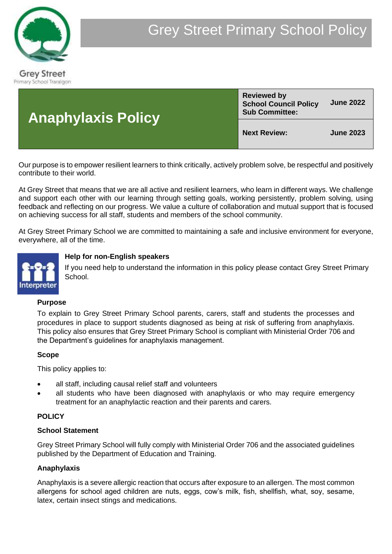

| <b>Anaphylaxis Policy</b> | <b>Reviewed by</b><br><b>School Council Policy</b><br><b>Sub Committee:</b> | <b>June 2022</b> |
|---------------------------|-----------------------------------------------------------------------------|------------------|
|                           | <b>Next Review:</b>                                                         | <b>June 2023</b> |

Our purpose is to empower resilient learners to think critically, actively problem solve, be respectful and positively contribute to their world.

At Grey Street that means that we are all active and resilient learners, who learn in different ways. We challenge and support each other with our learning through setting goals, working persistently, problem solving, using feedback and reflecting on our progress. We value a culture of collaboration and mutual support that is focused on achieving success for all staff, students and members of the school community.

At Grey Street Primary School we are committed to maintaining a safe and inclusive environment for everyone, everywhere, all of the time.



## **Help for non-English speakers**

If you need help to understand the information in this policy please contact Grey Street Primary School.

## **Purpose**

To explain to Grey Street Primary School parents, carers, staff and students the processes and procedures in place to support students diagnosed as being at risk of suffering from anaphylaxis. This policy also ensures that Grey Street Primary School is compliant with Ministerial Order 706 and the Department's guidelines for anaphylaxis management.

## **Scope**

This policy applies to:

- all staff, including causal relief staff and volunteers
- all students who have been diagnosed with anaphylaxis or who may require emergency treatment for an anaphylactic reaction and their parents and carers.

## **POLICY**

#### **School Statement**

Grey Street Primary School will fully comply with Ministerial Order 706 and the associated guidelines published by the Department of Education and Training.

#### **Anaphylaxis**

Anaphylaxis is a severe allergic reaction that occurs after exposure to an allergen. The most common allergens for school aged children are nuts, eggs, cow's milk, fish, shellfish, what, soy, sesame, latex, certain insect stings and medications.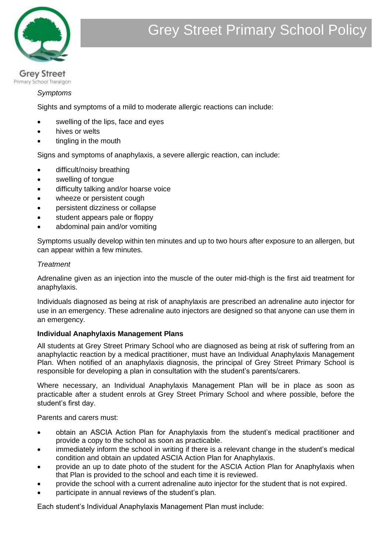

Primary School Traralgon

## *Symptoms*

Sights and symptoms of a mild to moderate allergic reactions can include:

- swelling of the lips, face and eyes
- hives or welts
- tingling in the mouth

Signs and symptoms of anaphylaxis, a severe allergic reaction, can include:

- difficult/noisy breathing
- swelling of tongue
- difficulty talking and/or hoarse voice
- wheeze or persistent cough
- persistent dizziness or collapse
- student appears pale or floppy
- abdominal pain and/or vomiting

Symptoms usually develop within ten minutes and up to two hours after exposure to an allergen, but can appear within a few minutes.

#### *Treatment*

Adrenaline given as an injection into the muscle of the outer mid-thigh is the first aid treatment for anaphylaxis.

Individuals diagnosed as being at risk of anaphylaxis are prescribed an adrenaline auto injector for use in an emergency. These adrenaline auto injectors are designed so that anyone can use them in an emergency.

## **Individual Anaphylaxis Management Plans**

All students at Grey Street Primary School who are diagnosed as being at risk of suffering from an anaphylactic reaction by a medical practitioner, must have an Individual Anaphylaxis Management Plan. When notified of an anaphylaxis diagnosis, the principal of Grey Street Primary School is responsible for developing a plan in consultation with the student's parents/carers.

Where necessary, an Individual Anaphylaxis Management Plan will be in place as soon as practicable after a student enrols at Grey Street Primary School and where possible, before the student's first day.

Parents and carers must:

- obtain an ASCIA Action Plan for Anaphylaxis from the student's medical practitioner and provide a copy to the school as soon as practicable.
- immediately inform the school in writing if there is a relevant change in the student's medical condition and obtain an updated ASCIA Action Plan for Anaphylaxis.
- provide an up to date photo of the student for the ASCIA Action Plan for Anaphylaxis when that Plan is provided to the school and each time it is reviewed.
- provide the school with a current adrenaline auto injector for the student that is not expired.
- participate in annual reviews of the student's plan.

Each student's Individual Anaphylaxis Management Plan must include: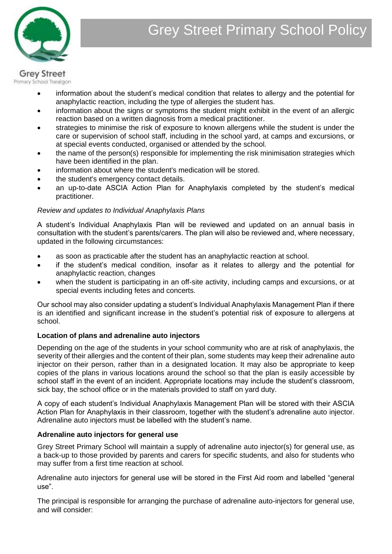

# **Grey Street**

- information about the student's medical condition that relates to allergy and the potential for anaphylactic reaction, including the type of allergies the student has.
- information about the signs or symptoms the student might exhibit in the event of an allergic reaction based on a written diagnosis from a medical practitioner.
- strategies to minimise the risk of exposure to known allergens while the student is under the care or supervision of school staff, including in the school yard, at camps and excursions, or at special events conducted, organised or attended by the school.
- the name of the person(s) responsible for implementing the risk minimisation strategies which have been identified in the plan.
- information about where the student's medication will be stored.
- the student's emergency contact details.
- an up-to-date ASCIA Action Plan for Anaphylaxis completed by the student's medical practitioner.

## *Review and updates to Individual Anaphylaxis Plans*

A student's Individual Anaphylaxis Plan will be reviewed and updated on an annual basis in consultation with the student's parents/carers. The plan will also be reviewed and, where necessary, updated in the following circumstances:

- as soon as practicable after the student has an anaphylactic reaction at school.
- if the student's medical condition, insofar as it relates to allergy and the potential for anaphylactic reaction, changes
- when the student is participating in an off-site activity, including camps and excursions, or at special events including fetes and concerts.

Our school may also consider updating a student's Individual Anaphylaxis Management Plan if there is an identified and significant increase in the student's potential risk of exposure to allergens at school.

## **Location of plans and adrenaline auto injectors**

Depending on the age of the students in your school community who are at risk of anaphylaxis, the severity of their allergies and the content of their plan, some students may keep their adrenaline auto injector on their person, rather than in a designated location. It may also be appropriate to keep copies of the plans in various locations around the school so that the plan is easily accessible by school staff in the event of an incident. Appropriate locations may include the student's classroom, sick bay, the school office or in the materials provided to staff on yard duty.

A copy of each student's Individual Anaphylaxis Management Plan will be stored with their ASCIA Action Plan for Anaphylaxis in their classroom, together with the student's adrenaline auto injector. Adrenaline auto injectors must be labelled with the student's name.

## **Adrenaline auto injectors for general use**

Grey Street Primary School will maintain a supply of adrenaline auto injector(s) for general use, as a back-up to those provided by parents and carers for specific students, and also for students who may suffer from a first time reaction at school.

Adrenaline auto injectors for general use will be stored in the First Aid room and labelled "general use".

The principal is responsible for arranging the purchase of adrenaline auto-injectors for general use, and will consider:

Primary School Traralgon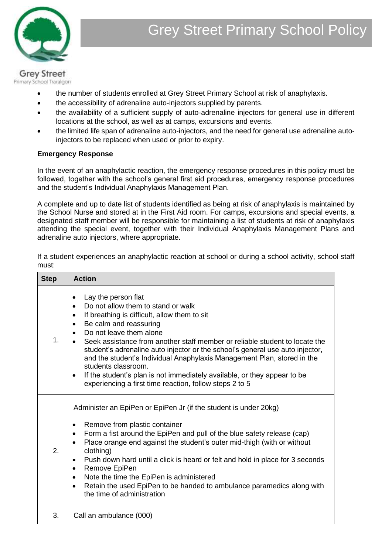

#### **Grey Street** Primary School Traralgon

- the number of students enrolled at Grey Street Primary School at risk of anaphylaxis.
- the accessibility of adrenaline auto-injectors supplied by parents.
- the availability of a sufficient supply of auto-adrenaline injectors for general use in different locations at the school, as well as at camps, excursions and events.
- the limited life span of adrenaline auto-injectors, and the need for general use adrenaline autoinjectors to be replaced when used or prior to expiry.

## **Emergency Response**

In the event of an anaphylactic reaction, the emergency response procedures in this policy must be followed, together with the school's general first aid procedures, emergency response procedures and the student's Individual Anaphylaxis Management Plan.

A complete and up to date list of students identified as being at risk of anaphylaxis is maintained by the School Nurse and stored at in the First Aid room. For camps, excursions and special events, a designated staff member will be responsible for maintaining a list of students at risk of anaphylaxis attending the special event, together with their Individual Anaphylaxis Management Plans and adrenaline auto injectors, where appropriate.

If a student experiences an anaphylactic reaction at school or during a school activity, school staff must:

| <b>Step</b> | <b>Action</b>                                                                                                                                                                                                                                                                                                                                                                                                                                                                                                                                                                                                  |
|-------------|----------------------------------------------------------------------------------------------------------------------------------------------------------------------------------------------------------------------------------------------------------------------------------------------------------------------------------------------------------------------------------------------------------------------------------------------------------------------------------------------------------------------------------------------------------------------------------------------------------------|
| 1.          | Lay the person flat<br>Do not allow them to stand or walk<br>$\bullet$<br>If breathing is difficult, allow them to sit<br>$\bullet$<br>Be calm and reassuring<br>Do not leave them alone<br>Seek assistance from another staff member or reliable student to locate the<br>student's adrenaline auto injector or the school's general use auto injector,<br>and the student's Individual Anaphylaxis Management Plan, stored in the<br>students classroom.<br>If the student's plan is not immediately available, or they appear to be<br>$\bullet$<br>experiencing a first time reaction, follow steps 2 to 5 |
| 2.          | Administer an EpiPen or EpiPen Jr (if the student is under 20kg)<br>Remove from plastic container<br>٠<br>Form a fist around the EpiPen and pull of the blue safety release (cap)<br>$\bullet$<br>Place orange end against the student's outer mid-thigh (with or without<br>clothing)<br>Push down hard until a click is heard or felt and hold in place for 3 seconds<br>٠<br>Remove EpiPen<br>٠<br>Note the time the EpiPen is administered<br>٠<br>Retain the used EpiPen to be handed to ambulance paramedics along with<br>the time of administration                                                    |
| 3.          | Call an ambulance (000)                                                                                                                                                                                                                                                                                                                                                                                                                                                                                                                                                                                        |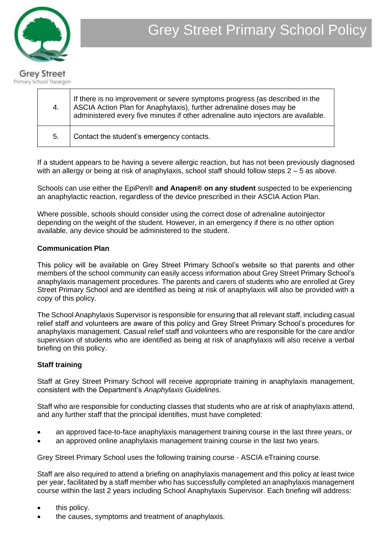

| 4. | If there is no improvement or severe symptoms progress (as described in the<br>ASCIA Action Plan for Anaphylaxis), further adrenaline doses may be<br>administered every five minutes if other adrenaline auto injectors are available. |
|----|-----------------------------------------------------------------------------------------------------------------------------------------------------------------------------------------------------------------------------------------|
| 5. | Contact the student's emergency contacts.                                                                                                                                                                                               |

If a student appears to be having a severe allergic reaction, but has not been previously diagnosed with an allergy or being at risk of anaphylaxis, school staff should follow steps 2 – 5 as above.

Schools can use either the EpiPen® **and Anapen® on any student** suspected to be experiencing an anaphylactic reaction, regardless of the device prescribed in their ASCIA Action Plan.

Where possible, schools should consider using the correct dose of adrenaline autoinjector depending on the weight of the student. However, in an emergency if there is no other option available, any device should be administered to the student.

## **Communication Plan**

This policy will be available on Grey Street Primary School's website so that parents and other members of the school community can easily access information about Grey Street Primary School's anaphylaxis management procedures. The parents and carers of students who are enrolled at Grey Street Primary School and are identified as being at risk of anaphylaxis will also be provided with a copy of this policy.

The School Anaphylaxis Supervisor is responsible for ensuring that all relevant staff, including casual relief staff and volunteers are aware of this policy and Grey Street Primary School's procedures for anaphylaxis management. Casual relief staff and volunteers who are responsible for the care and/or supervision of students who are identified as being at risk of anaphylaxis will also receive a verbal briefing on this policy.

## **Staff training**

Staff at Grey Street Primary School will receive appropriate training in anaphylaxis management, consistent with the Department's *Anaphylaxis Guidelines*.

Staff who are responsible for conducting classes that students who are at risk of anaphylaxis attend, and any further staff that the principal identifies, must have completed:

- an approved face-to-face anaphylaxis management training course in the last three years, or
- an approved online anaphylaxis management training course in the last two years.

Grey Street Primary School uses the following training course - ASCIA eTraining course.

Staff are also required to attend a briefing on anaphylaxis management and this policy at least twice per year, facilitated by a staff member who has successfully completed an anaphylaxis management course within the last 2 years including School Anaphylaxis Supervisor. Each briefing will address:

- this policy.
- the causes, symptoms and treatment of anaphylaxis.